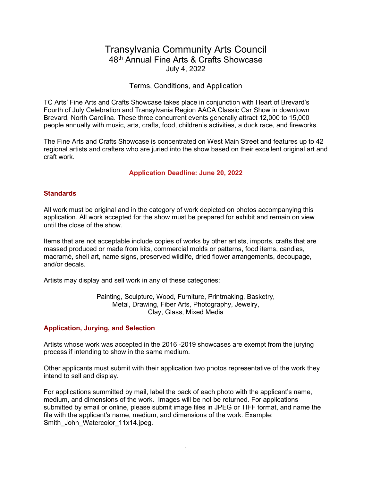# Transylvania Community Arts Council 48th Annual Fine Arts & Crafts Showcase July 4, 2022

# Terms, Conditions, and Application

TC Arts' Fine Arts and Crafts Showcase takes place in conjunction with Heart of Brevard's Fourth of July Celebration and Transylvania Region AACA Classic Car Show in downtown Brevard, North Carolina. These three concurrent events generally attract 12,000 to 15,000 people annually with music, arts, crafts, food, children's activities, a duck race, and fireworks.

The Fine Arts and Crafts Showcase is concentrated on West Main Street and features up to 42 regional artists and crafters who are juried into the show based on their excellent original art and craft work.

# Application Deadline: June 20, 2022

### **Standards**

All work must be original and in the category of work depicted on photos accompanying this application. All work accepted for the show must be prepared for exhibit and remain on view until the close of the show.

Items that are not acceptable include copies of works by other artists, imports, crafts that are massed produced or made from kits, commercial molds or patterns, food items, candies, macramé, shell art, name signs, preserved wildlife, dried flower arrangements, decoupage, and/or decals.

Artists may display and sell work in any of these categories:

Painting, Sculpture, Wood, Furniture, Printmaking, Basketry, Metal, Drawing, Fiber Arts, Photography, Jewelry, Clay, Glass, Mixed Media

# Application, Jurying, and Selection

Artists whose work was accepted in the 2016 -2019 showcases are exempt from the jurying process if intending to show in the same medium.

Other applicants must submit with their application two photos representative of the work they intend to sell and display.

For applications summitted by mail, label the back of each photo with the applicant's name, medium, and dimensions of the work. Images will be not be returned. For applications submitted by email or online, please submit image files in JPEG or TIFF format, and name the file with the applicant's name, medium, and dimensions of the work. Example: Smith\_John\_Watercolor\_11x14.jpeg.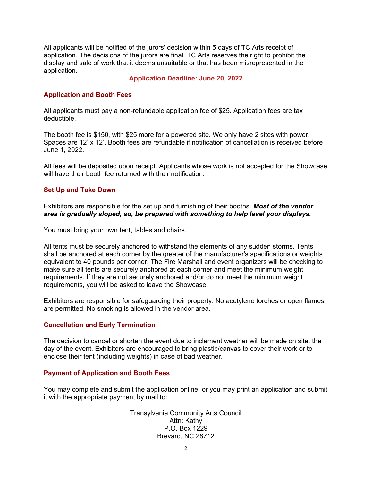All applicants will be notified of the jurors' decision within 5 days of TC Arts receipt of application. The decisions of the jurors are final. TC Arts reserves the right to prohibit the display and sale of work that it deems unsuitable or that has been misrepresented in the application.

#### Application Deadline: June 20, 2022

### Application and Booth Fees

All applicants must pay a non-refundable application fee of \$25. Application fees are tax deductible.

The booth fee is \$150, with \$25 more for a powered site. We only have 2 sites with power. Spaces are 12' x 12'. Booth fees are refundable if notification of cancellation is received before June 1, 2022.

All fees will be deposited upon receipt. Applicants whose work is not accepted for the Showcase will have their booth fee returned with their notification.

#### Set Up and Take Down

Exhibitors are responsible for the set up and furnishing of their booths. **Most of the vendor** area is gradually sloped, so, be prepared with something to help level your displays.

You must bring your own tent, tables and chairs.

All tents must be securely anchored to withstand the elements of any sudden storms. Tents shall be anchored at each corner by the greater of the manufacturer's specifications or weights equivalent to 40 pounds per corner. The Fire Marshall and event organizers will be checking to make sure all tents are securely anchored at each corner and meet the minimum weight requirements. If they are not securely anchored and/or do not meet the minimum weight requirements, you will be asked to leave the Showcase.

Exhibitors are responsible for safeguarding their property. No acetylene torches or open flames are permitted. No smoking is allowed in the vendor area.

#### Cancellation and Early Termination

The decision to cancel or shorten the event due to inclement weather will be made on site, the day of the event. Exhibitors are encouraged to bring plastic/canvas to cover their work or to enclose their tent (including weights) in case of bad weather.

#### Payment of Application and Booth Fees

You may complete and submit the application online, or you may print an application and submit it with the appropriate payment by mail to:

> Transylvania Community Arts Council Attn: Kathy P.O. Box 1229 Brevard, NC 28712